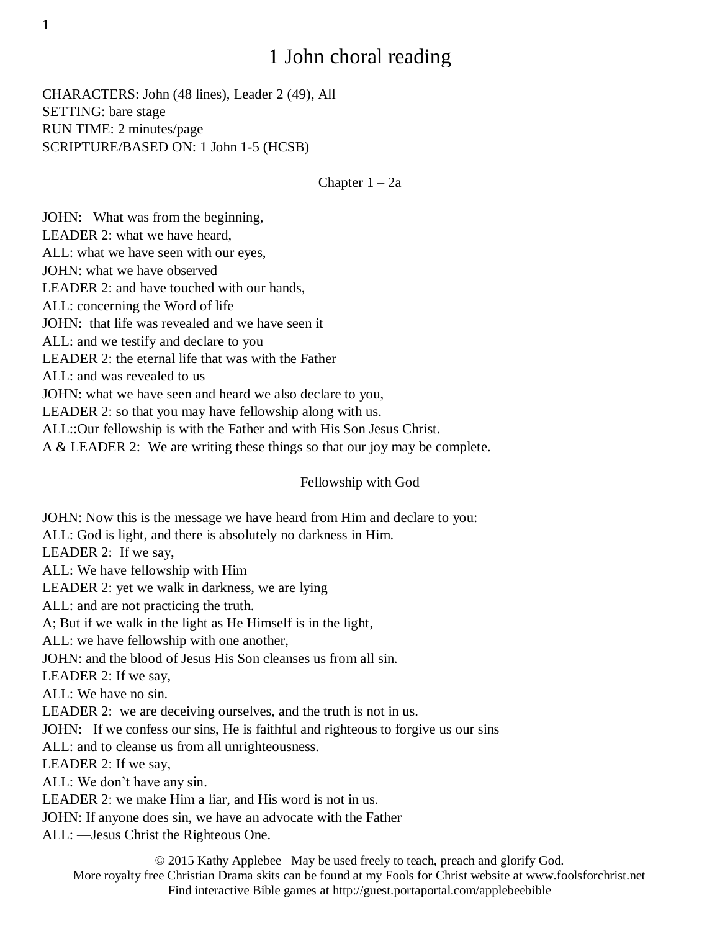# 1 John choral reading

CHARACTERS: John (48 lines), Leader 2 (49), All SETTING: bare stage RUN TIME: 2 minutes/page SCRIPTURE/BASED ON: 1 John 1-5 (HCSB)

Chapter 1 – 2a

JOHN: What was from the beginning, LEADER 2: what we have heard, ALL: what we have seen with our eyes, JOHN: what we have observed LEADER 2: and have touched with our hands, ALL: concerning the Word of life— JOHN: that life was revealed and we have seen it ALL: and we testify and declare to you LEADER 2: the eternal life that was with the Father ALL: and was revealed to us— JOHN: what we have seen and heard we also declare to you, LEADER 2: so that you may have fellowship along with us. ALL::Our fellowship is with the Father and with His Son Jesus Christ. A & LEADER 2: We are writing these things so that our joy may be complete.

Fellowship with God

JOHN: Now this is the message we have heard from Him and declare to you: ALL: God is light, and there is absolutely no darkness in Him. LEADER 2: If we say, ALL: We have fellowship with Him LEADER 2: yet we walk in darkness, we are lying ALL: and are not practicing the truth. A; But if we walk in the light as He Himself is in the light, ALL: we have fellowship with one another, JOHN: and the blood of Jesus His Son cleanses us from all sin. LEADER 2: If we say, ALL: We have no sin. LEADER 2: we are deceiving ourselves, and the truth is not in us. JOHN: If we confess our sins, He is faithful and righteous to forgive us our sins ALL: and to cleanse us from all unrighteousness. LEADER 2: If we say, ALL: We don't have any sin. LEADER 2: we make Him a liar, and His word is not in us. JOHN: If anyone does sin, we have an advocate with the Father ALL: —Jesus Christ the Righteous One.

© 2015 Kathy Applebee May be used freely to teach, preach and glorify God. More royalty free Christian Drama skits can be found at my Fools for Christ website at www.foolsforchrist.net Find interactive Bible games at http://guest.portaportal.com/applebeebible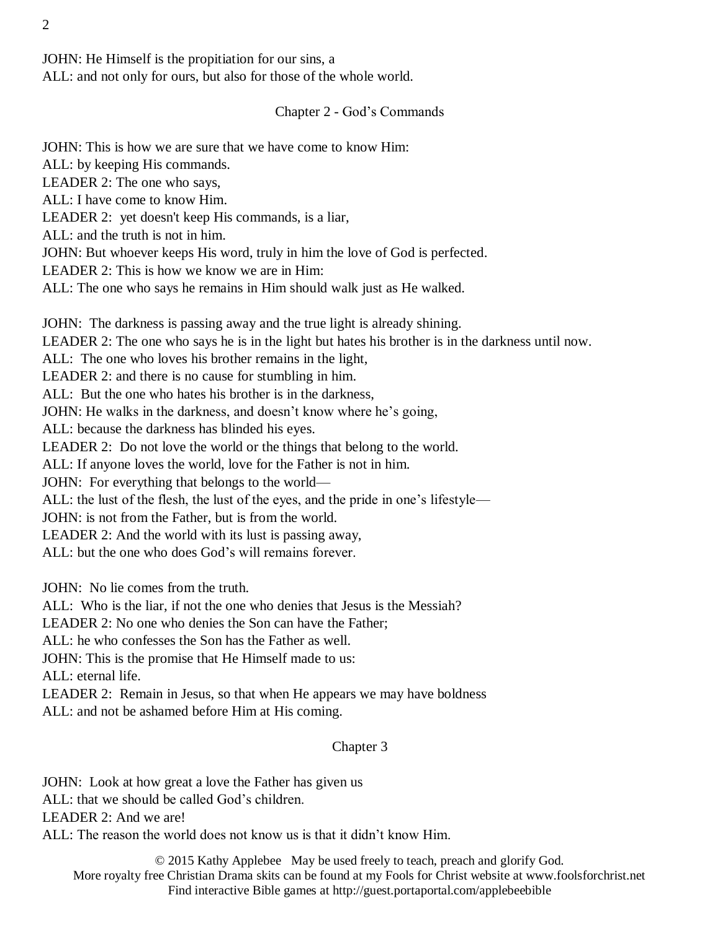JOHN: He Himself is the propitiation for our sins, a ALL: and not only for ours, but also for those of the whole world.

## Chapter 2 - God's Commands

JOHN: This is how we are sure that we have come to know Him: ALL: by keeping His commands. LEADER 2: The one who says, ALL: I have come to know Him. LEADER 2: yet doesn't keep His commands, is a liar, ALL: and the truth is not in him. JOHN: But whoever keeps His word, truly in him the love of God is perfected. LEADER 2: This is how we know we are in Him: ALL: The one who says he remains in Him should walk just as He walked. JOHN: The darkness is passing away and the true light is already shining.

LEADER 2: The one who says he is in the light but hates his brother is in the darkness until now. ALL: The one who loves his brother remains in the light, LEADER 2: and there is no cause for stumbling in him. ALL: But the one who hates his brother is in the darkness, JOHN: He walks in the darkness, and doesn't know where he's going, ALL: because the darkness has blinded his eyes. LEADER 2: Do not love the world or the things that belong to the world. ALL: If anyone loves the world, love for the Father is not in him. JOHN: For everything that belongs to the world— ALL: the lust of the flesh, the lust of the eyes, and the pride in one's lifestyle— JOHN: is not from the Father, but is from the world. LEADER 2: And the world with its lust is passing away, ALL: but the one who does God's will remains forever.

JOHN: No lie comes from the truth.

ALL: Who is the liar, if not the one who denies that Jesus is the Messiah?

LEADER 2: No one who denies the Son can have the Father;

ALL: he who confesses the Son has the Father as well.

JOHN: This is the promise that He Himself made to us:

ALL: eternal life.

LEADER 2: Remain in Jesus, so that when He appears we may have boldness ALL: and not be ashamed before Him at His coming.

## Chapter 3

JOHN: Look at how great a love the Father has given us ALL: that we should be called God's children. LEADER 2: And we are! ALL: The reason the world does not know us is that it didn't know Him.

© 2015 Kathy Applebee May be used freely to teach, preach and glorify God. More royalty free Christian Drama skits can be found at my Fools for Christ website at www.foolsforchrist.net Find interactive Bible games at http://guest.portaportal.com/applebeebible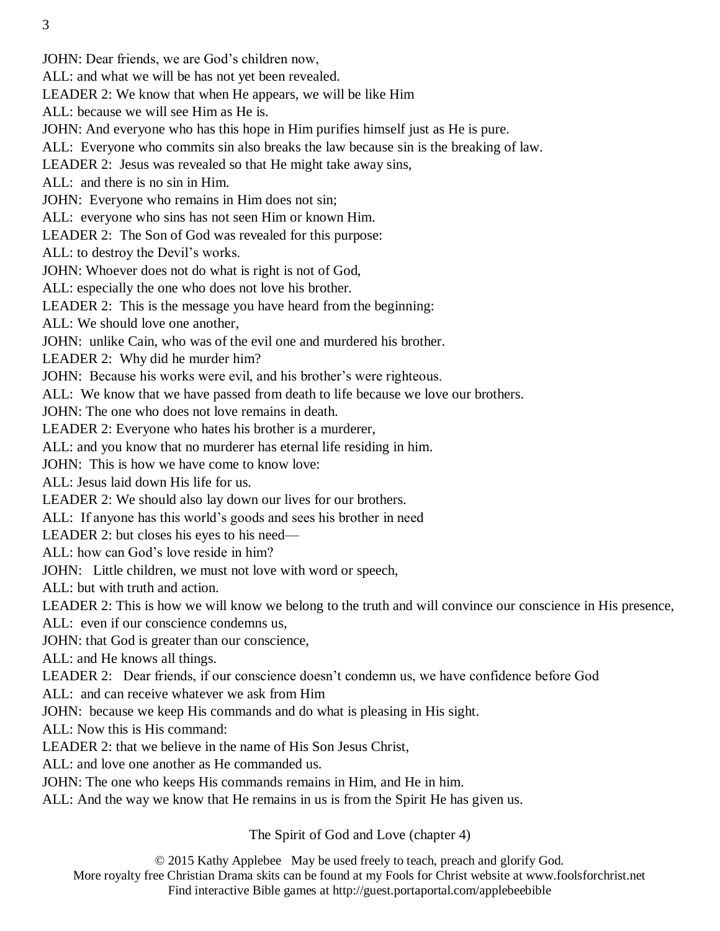JOHN: Dear friends, we are God's children now,

ALL: and what we will be has not yet been revealed.

LEADER 2: We know that when He appears, we will be like Him

ALL: because we will see Him as He is.

JOHN: And everyone who has this hope in Him purifies himself just as He is pure.

ALL: Everyone who commits sin also breaks the law because sin is the breaking of law.

LEADER 2: Jesus was revealed so that He might take away sins,

ALL: and there is no sin in Him.

JOHN: Everyone who remains in Him does not sin;

ALL: everyone who sins has not seen Him or known Him.

LEADER 2: The Son of God was revealed for this purpose:

ALL: to destroy the Devil's works.

JOHN: Whoever does not do what is right is not of God,

ALL: especially the one who does not love his brother.

LEADER 2: This is the message you have heard from the beginning:

ALL: We should love one another,

JOHN: unlike Cain, who was of the evil one and murdered his brother.

LEADER 2: Why did he murder him?

JOHN: Because his works were evil, and his brother's were righteous.

ALL: We know that we have passed from death to life because we love our brothers.

JOHN: The one who does not love remains in death.

LEADER 2: Everyone who hates his brother is a murderer,

ALL: and you know that no murderer has eternal life residing in him.

JOHN: This is how we have come to know love:

ALL: Jesus laid down His life for us.

LEADER 2: We should also lay down our lives for our brothers.

ALL: If anyone has this world's goods and sees his brother in need

LEADER 2: but closes his eyes to his need—

ALL: how can God's love reside in him?

JOHN: Little children, we must not love with word or speech,

ALL: but with truth and action.

LEADER 2: This is how we will know we belong to the truth and will convince our conscience in His presence,

ALL: even if our conscience condemns us,

JOHN: that God is greater than our conscience,

ALL: and He knows all things.

LEADER 2: Dear friends, if our conscience doesn't condemn us, we have confidence before God

ALL: and can receive whatever we ask from Him

JOHN: because we keep His commands and do what is pleasing in His sight.

ALL: Now this is His command:

LEADER 2: that we believe in the name of His Son Jesus Christ,

ALL: and love one another as He commanded us.

JOHN: The one who keeps His commands remains in Him, and He in him.

ALL: And the way we know that He remains in us is from the Spirit He has given us.

The Spirit of God and Love (chapter 4)

© 2015 Kathy Applebee May be used freely to teach, preach and glorify God.

More royalty free Christian Drama skits can be found at my Fools for Christ website at www.foolsforchrist.net Find interactive Bible games at http://guest.portaportal.com/applebeebible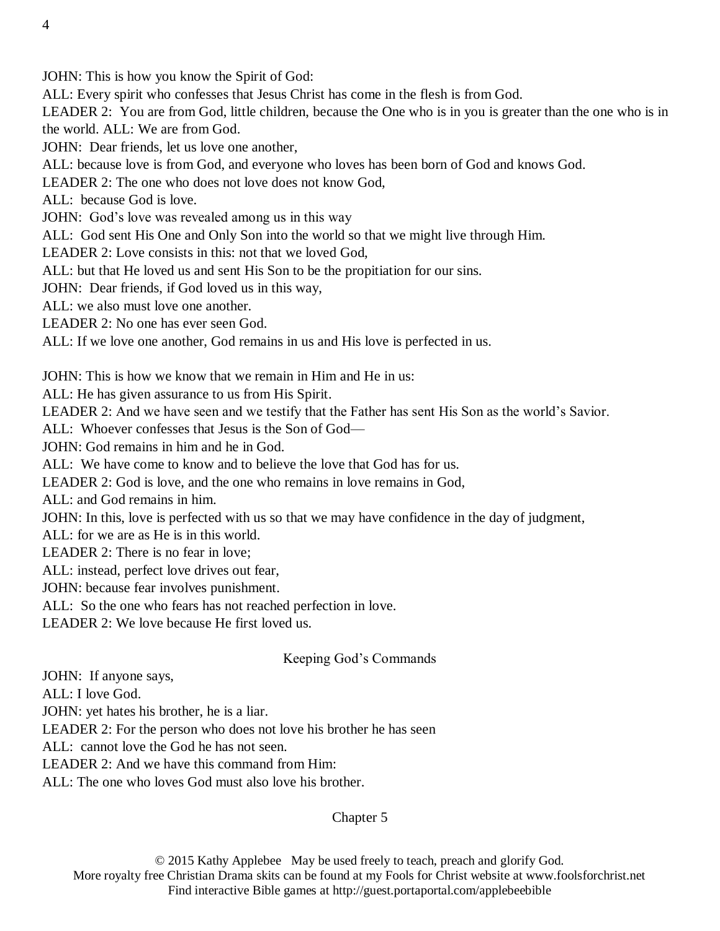JOHN: This is how you know the Spirit of God:

ALL: Every spirit who confesses that Jesus Christ has come in the flesh is from God.

LEADER 2: You are from God, little children, because the One who is in you is greater than the one who is in the world. ALL: We are from God.

JOHN: Dear friends, let us love one another,

ALL: because love is from God, and everyone who loves has been born of God and knows God.

LEADER 2: The one who does not love does not know God,

ALL: because God is love.

JOHN: God's love was revealed among us in this way

ALL: God sent His One and Only Son into the world so that we might live through Him.

LEADER 2: Love consists in this: not that we loved God,

ALL: but that He loved us and sent His Son to be the propitiation for our sins.

JOHN: Dear friends, if God loved us in this way,

ALL: we also must love one another.

LEADER 2: No one has ever seen God.

ALL: If we love one another, God remains in us and His love is perfected in us.

JOHN: This is how we know that we remain in Him and He in us:

ALL: He has given assurance to us from His Spirit.

LEADER 2: And we have seen and we testify that the Father has sent His Son as the world's Savior.

ALL: Whoever confesses that Jesus is the Son of God—

JOHN: God remains in him and he in God.

ALL: We have come to know and to believe the love that God has for us.

LEADER 2: God is love, and the one who remains in love remains in God,

ALL: and God remains in him.

JOHN: In this, love is perfected with us so that we may have confidence in the day of judgment,

ALL: for we are as He is in this world.

LEADER 2: There is no fear in love;

ALL: instead, perfect love drives out fear,

JOHN: because fear involves punishment.

ALL: So the one who fears has not reached perfection in love.

LEADER 2: We love because He first loved us.

#### Keeping God's Commands

JOHN: If anyone says,

ALL: I love God.

JOHN: yet hates his brother, he is a liar.

LEADER 2: For the person who does not love his brother he has seen

ALL: cannot love the God he has not seen.

LEADER 2: And we have this command from Him:

ALL: The one who loves God must also love his brother.

### Chapter 5

© 2015 Kathy Applebee May be used freely to teach, preach and glorify God. More royalty free Christian Drama skits can be found at my Fools for Christ website at www.foolsforchrist.net Find interactive Bible games at http://guest.portaportal.com/applebeebible